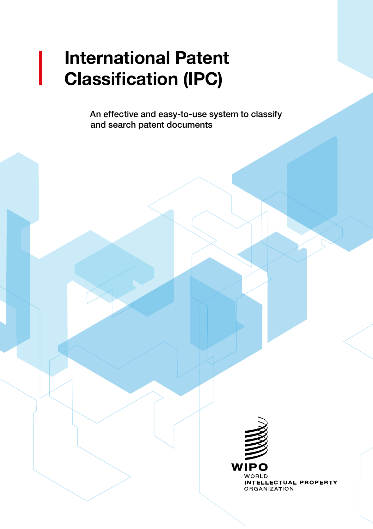# International Patent Classification (IPC)

An effective and easy-to-use system to classify and search patent documents

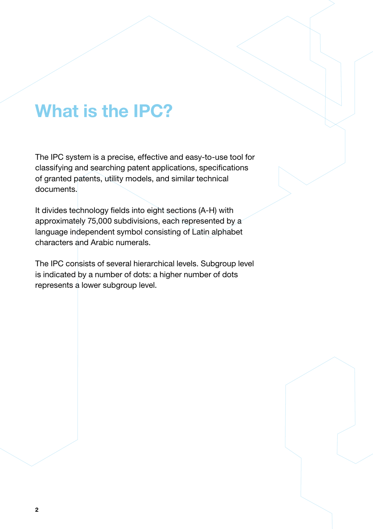## What is the IPC?

The IPC system is a precise, effective and easy-to-use tool for classifying and searching patent applications, specifications of granted patents, utility models, and similar technical documents.

It divides technology fields into eight sections (A-H) with approximately 75,000 subdivisions, each represented by a language independent symbol consisting of Latin alphabet characters and Arabic numerals.

The IPC consists of several hierarchical levels. Subgroup level is indicated by a number of dots: a higher number of dots represents a lower subgroup level.

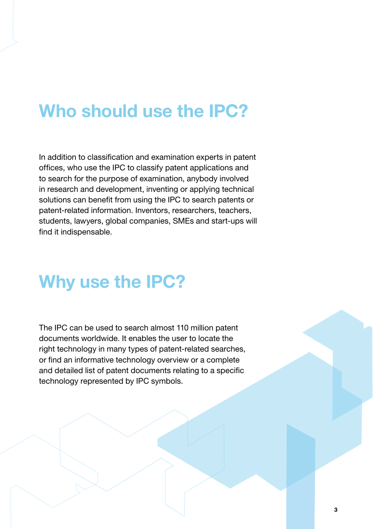### Who should use the IPC?

In addition to classification and examination experts in patent offices, who use the IPC to classify patent applications and to search for the purpose of examination, anybody involved in research and development, inventing or applying technical solutions can benefit from using the IPC to search patents or patent-related information. Inventors, researchers, teachers, students, lawyers, global companies, SMEs and start-ups will find it indispensable.

### Why use the IPC?

The IPC can be used to search almost 110 million patent documents worldwide. It enables the user to locate the right technology in many types of patent-related searches, or find an informative technology overview or a complete and detailed list of patent documents relating to a specific technology represented by IPC symbols.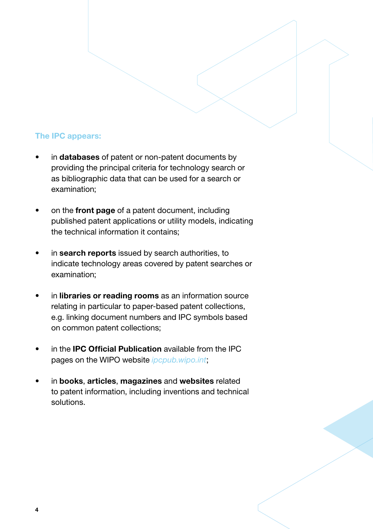#### The IPC appears:

- in databases of patent or non-patent documents by providing the principal criteria for technology search or as bibliographic data that can be used for a search or examination;
- on the front page of a patent document, including published patent applications or utility models, indicating the technical information it contains;
- in search reports issued by search authorities, to indicate technology areas covered by patent searches or examination;
- in libraries or reading rooms as an information source relating in particular to paper-based patent collections, e.g. linking document numbers and IPC symbols based on common patent collections;
- in the **IPC Official Publication** available from the IPC pages on the WIPO website *[ipcpub.wipo.int](https://ipcpub.wipo.int)*;
- in books, articles, magazines and websites related to patent information, including inventions and technical solutions.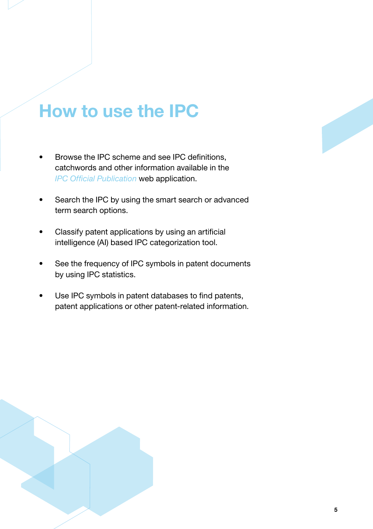### How to use the IPC

- Browse the IPC scheme and see IPC definitions, catchwords and other information available in the *[IPC Official Publication](https://ipcpub.wipo.int)* web application.
- Search the IPC by using the smart search or advanced term search options.
- Classify patent applications by using an artificial intelligence (AI) based IPC categorization tool.
- See the frequency of IPC symbols in patent documents by using IPC statistics.
- Use IPC symbols in patent databases to find patents, patent applications or other patent-related information.

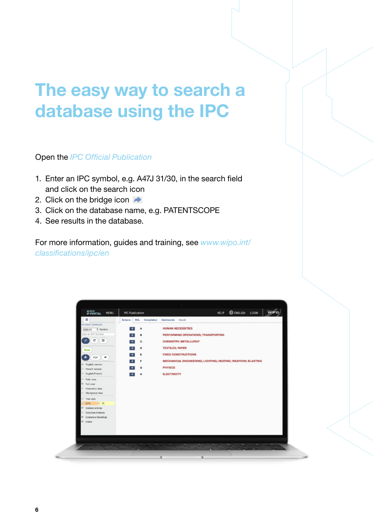## The easy way to search a database using the IPC

Open the *[IPC Official Publication](https://ipcpub.wipo.int)*

- 1. Enter an IPC symbol, e.g. A47J 31/30, in the search field and click on the search icon
- 2. Click on the bridge icon  $\rightarrow$
- 3. Click on the database name, e.g. PATENTSCOPE
- 4. See results in the database.

For more information, guides and training, see *[www.wipo.int/](https://www.wipo.int/classifications/ipc/en) [classifications/ipc/en](https://www.wipo.int/classifications/ipc/en)*

| <b>RCL</b> Compilation<br>Catchwords Search<br>Scheme<br><b>HUMAN NECESSITIES</b><br>٨<br>PERFORMING OPERATIONS; TRANSPORTING<br>a<br>CHEMISTRY; METALLURGY<br>¢<br><b>TEXTILES; PAPER</b><br>D<br>÷<br><b>FIXED CONSTRUCTIONS</b><br>$\blacksquare$<br>MECHANICAL ENGINEERING; LIGHTING; HEATING; WEAPONS; BLASTING<br>F<br><b>PHYSICS</b><br>a<br><b>ELECTRICITY</b><br>Ħ | WIPO<br>IP PORTAL<br><b>MENU</b>                                                                                                                                                                                                                                                                                                                                                                                                                 | IPC Publication |  |  |  |  | ENGLISH LOGIN<br><b>HELP</b> | WIPO |
|-----------------------------------------------------------------------------------------------------------------------------------------------------------------------------------------------------------------------------------------------------------------------------------------------------------------------------------------------------------------------------|--------------------------------------------------------------------------------------------------------------------------------------------------------------------------------------------------------------------------------------------------------------------------------------------------------------------------------------------------------------------------------------------------------------------------------------------------|-----------------|--|--|--|--|------------------------------|------|
|                                                                                                                                                                                                                                                                                                                                                                             | ٠<br>PC HOME   DOWNLOAD<br>2020.01 8 Version<br>type an IPC Symbol<br>$\mathbf{C}$<br>Хm<br>م<br>None<br>$\bullet$<br>PDF )( $\rightarrow$<br>* English version<br><b>Prench version</b><br><b>English Franch</b><br>C Path view<br><sup>8</sup> Full view<br>Hierarchic view<br><b>Maingroup view</b><br>Tree view<br><b>DR</b><br><b>D</b> CPC<br>if Deleted entries<br><b>Bubclass Indexes</b><br><sup>in</sup> Guidance Headings<br>in Notes |                 |  |  |  |  |                              |      |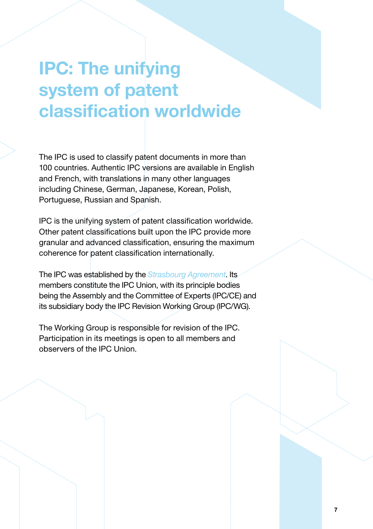## IPC: The unifying system of patent classification worldwide

The IPC is used to classify patent documents in more than 100 countries. Authentic IPC versions are available in English and French, with translations in many other languages including Chinese, German, Japanese, Korean, Polish, Portuguese, Russian and Spanish.

IPC is the unifying system of patent classification worldwide. Other patent classifications built upon the IPC provide more granular and advanced classification, ensuring the maximum coherence for patent classification internationally.

The IPC was established by the *[Strasbourg Agreement](https://www.wipo.int/treaties/en/classification/strasbourg/)*. Its members constitute the IPC Union, with its principle bodies being the Assembly and the Committee of Experts (IPC/CE) and its subsidiary body the IPC Revision Working Group (IPC/WG).

The Working Group is responsible for revision of the IPC. Participation in its meetings is open to all members and observers of the IPC Union.